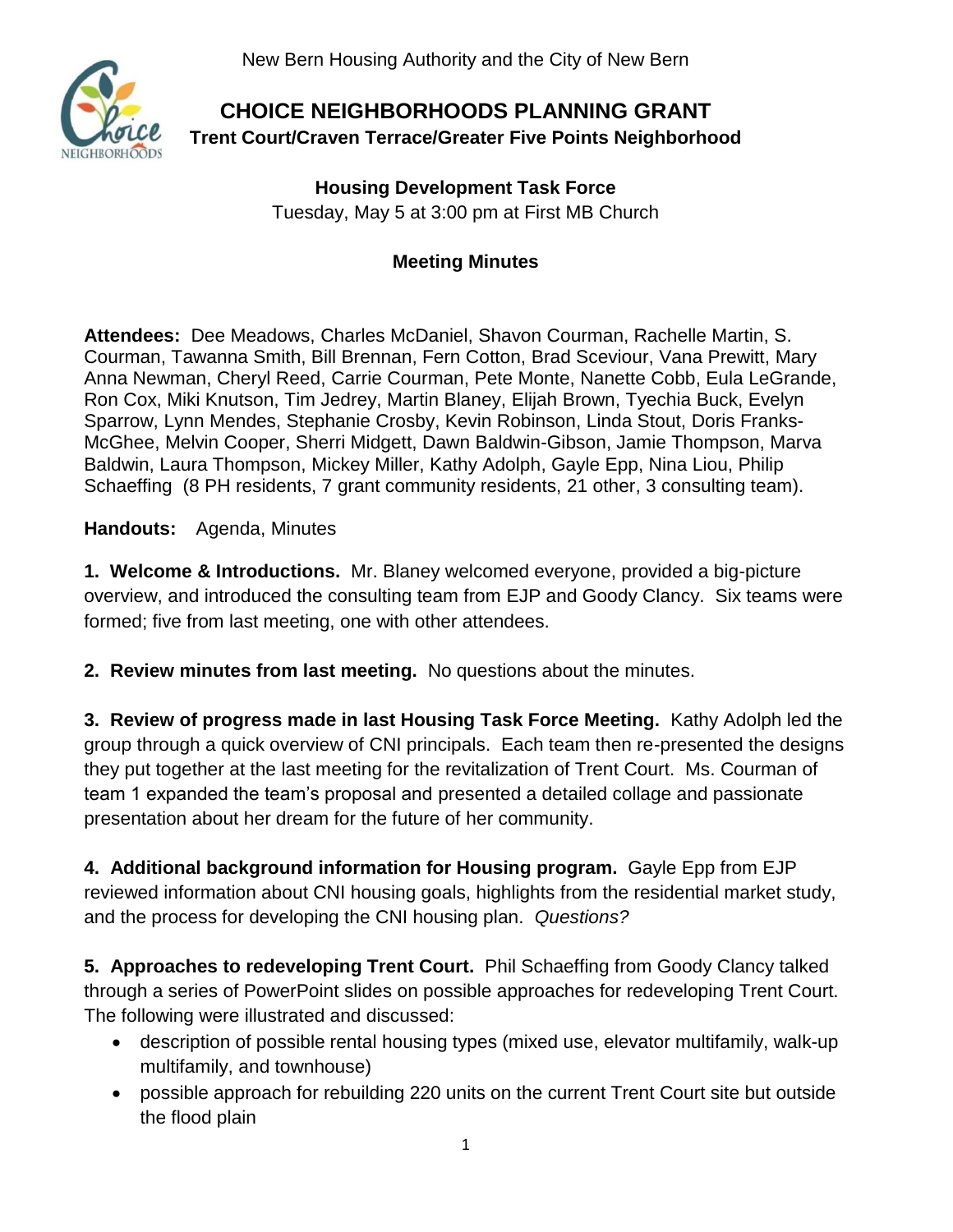New Bern Housing Authority and the City of New Bern



## **CHOICE NEIGHBORHOODS PLANNING GRANT Trent Court/Craven Terrace/Greater Five Points Neighborhood**

**Housing Development Task Force** Tuesday, May 5 at 3:00 pm at First MB Church

## **Meeting Minutes**

**Attendees:** Dee Meadows, Charles McDaniel, Shavon Courman, Rachelle Martin, S. Courman, Tawanna Smith, Bill Brennan, Fern Cotton, Brad Sceviour, Vana Prewitt, Mary Anna Newman, Cheryl Reed, Carrie Courman, Pete Monte, Nanette Cobb, Eula LeGrande, Ron Cox, Miki Knutson, Tim Jedrey, Martin Blaney, Elijah Brown, Tyechia Buck, Evelyn Sparrow, Lynn Mendes, Stephanie Crosby, Kevin Robinson, Linda Stout, Doris Franks-McGhee, Melvin Cooper, Sherri Midgett, Dawn Baldwin-Gibson, Jamie Thompson, Marva Baldwin, Laura Thompson, Mickey Miller, Kathy Adolph, Gayle Epp, Nina Liou, Philip Schaeffing (8 PH residents, 7 grant community residents, 21 other, 3 consulting team).

**Handouts:** Agenda, Minutes

**1. Welcome & Introductions.** Mr. Blaney welcomed everyone, provided a big-picture overview, and introduced the consulting team from EJP and Goody Clancy. Six teams were formed; five from last meeting, one with other attendees.

**2. Review minutes from last meeting.** No questions about the minutes.

**3. Review of progress made in last Housing Task Force Meeting.** Kathy Adolph led the group through a quick overview of CNI principals. Each team then re-presented the designs they put together at the last meeting for the revitalization of Trent Court. Ms. Courman of team 1 expanded the team's proposal and presented a detailed collage and passionate presentation about her dream for the future of her community.

**4. Additional background information for Housing program.** Gayle Epp from EJP reviewed information about CNI housing goals, highlights from the residential market study, and the process for developing the CNI housing plan. *Questions?*

**5. Approaches to redeveloping Trent Court.** Phil Schaeffing from Goody Clancy talked through a series of PowerPoint slides on possible approaches for redeveloping Trent Court. The following were illustrated and discussed:

- description of possible rental housing types (mixed use, elevator multifamily, walk-up multifamily, and townhouse)
- possible approach for rebuilding 220 units on the current Trent Court site but outside the flood plain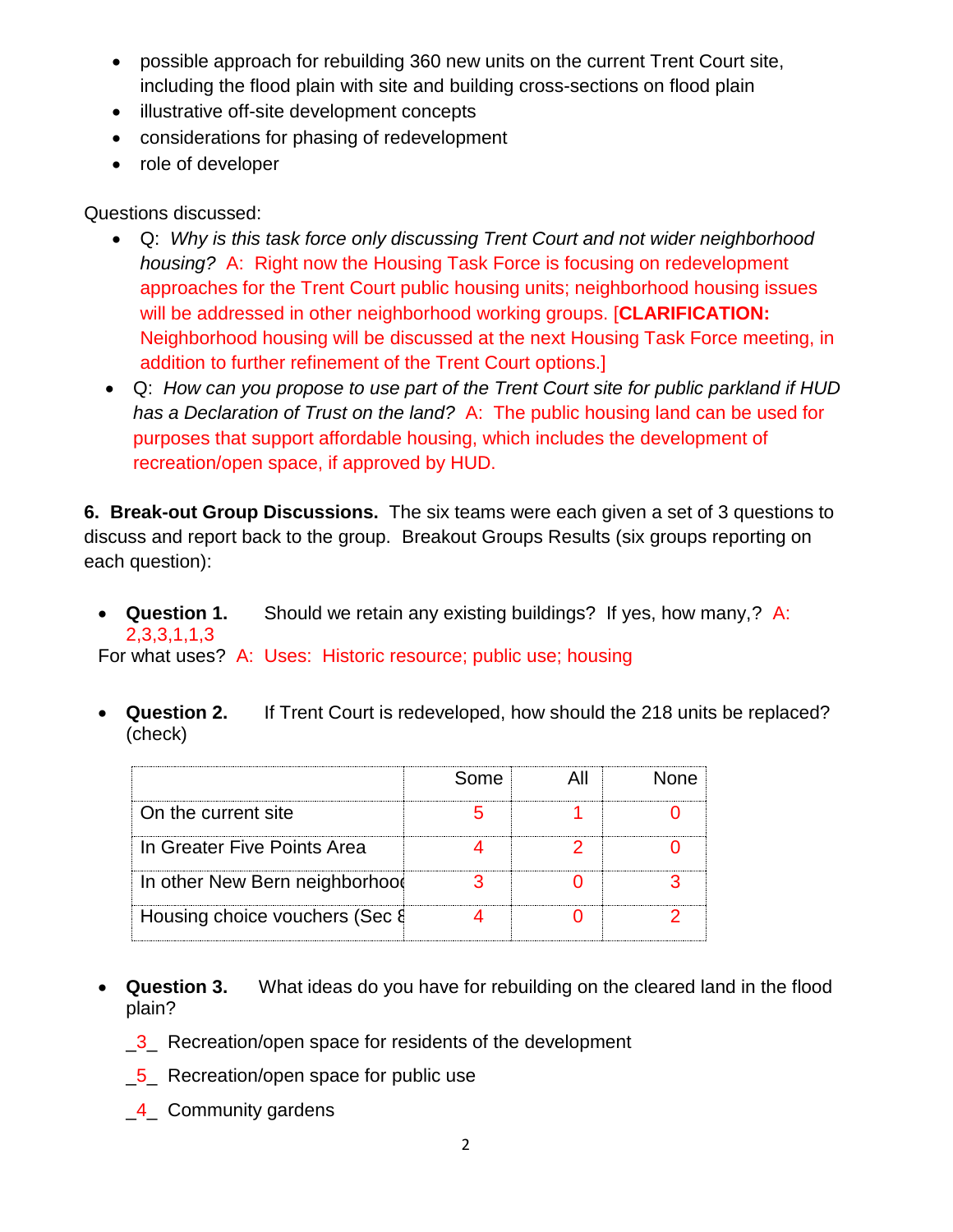- possible approach for rebuilding 360 new units on the current Trent Court site, including the flood plain with site and building cross-sections on flood plain
- illustrative off-site development concepts
- considerations for phasing of redevelopment
- role of developer

Questions discussed:

- Q: *Why is this task force only discussing Trent Court and not wider neighborhood housing?* A: Right now the Housing Task Force is focusing on redevelopment approaches for the Trent Court public housing units; neighborhood housing issues will be addressed in other neighborhood working groups. [**CLARIFICATION:** Neighborhood housing will be discussed at the next Housing Task Force meeting, in addition to further refinement of the Trent Court options.]
- Q: *How can you propose to use part of the Trent Court site for public parkland if HUD has a Declaration of Trust on the land?* A: The public housing land can be used for purposes that support affordable housing, which includes the development of recreation/open space, if approved by HUD.

**6. Break-out Group Discussions.** The six teams were each given a set of 3 questions to discuss and report back to the group. Breakout Groups Results (six groups reporting on each question):

 **Question 1.** Should we retain any existing buildings? If yes, how many,? A: 2,3,3,1,1,3

For what uses? A: Uses: Historic resource; public use; housing

 **Question 2.** If Trent Court is redeveloped, how should the 218 units be replaced? (check)

|                                | Some | one. |
|--------------------------------|------|------|
| On the current site            |      |      |
| In Greater Five Points Area    |      |      |
| In other New Bern neighborhood |      |      |
| Housing choice vouchers (Sec & |      |      |

- **Question 3.** What ideas do you have for rebuilding on the cleared land in the flood plain?
	- **3** Recreation/open space for residents of the development
	- **\_5** Recreation/open space for public use
	- **4** Community gardens